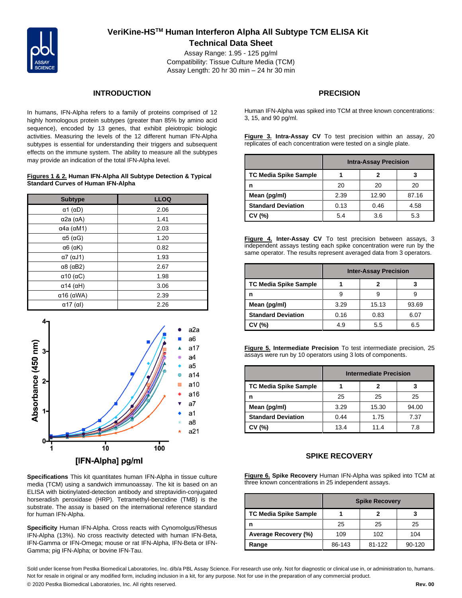

# **VeriKine-HSTM Human Interferon Alpha All Subtype TCM ELISA Kit Technical Data Sheet**

Assay Range: 1.95 - 125 pg/ml Compatibility: Tissue Culture Media (TCM) Assay Length: 20 hr 30 min – 24 hr 30 min

### **INTRODUCTION**

In humans, IFN-Alpha refers to a family of proteins comprised of 12 highly homologous protein subtypes (greater than 85% by amino acid sequence), encoded by 13 genes, that exhibit pleiotropic biologic activities. Measuring the levels of the 12 different human IFN-Alpha subtypes is essential for understanding their triggers and subsequent effects on the immune system. The ability to measure all the subtypes may provide an indication of the total IFN-Alpha level.

#### **Figures 1 & 2. Human IFN-Alpha All Subtype Detection & Typical Standard Curves of Human IFN-Alpha**

| <b>Subtype</b>             | <b>LLOQ</b> |
|----------------------------|-------------|
| $\alpha$ 1 ( $\alpha$ D)   | 2.06        |
| $\alpha$ 2a ( $\alpha$ A)  | 1.41        |
| $\alpha$ 4a ( $\alpha$ M1) | 2.03        |
| $\alpha$ 5 ( $\alpha$ G)   | 1.20        |
| $\alpha$ 6 ( $\alpha$ K)   | 0.82        |
| $\alpha$ 7 ( $\alpha$ J1)  | 1.93        |
| $\alpha$ 8 ( $\alpha$ B2)  | 2.67        |
| $\alpha$ 10 ( $\alpha$ C)  | 1.98        |
| $\alpha$ 14 ( $\alpha$ H)  | 3.06        |
| $\alpha$ 16 ( $\alpha$ WA) | 2.39        |
| $\alpha$ 17 (al)           | 2.26        |



**Specifications** This kit quantitates human IFN-Alpha in tissue culture media (TCM) using a sandwich immunoassay. The kit is based on an ELISA with biotinylated-detection antibody and streptavidin-conjugated horseradish peroxidase (HRP). Tetramethyl-benzidine (TMB) is the substrate. The assay is based on the international reference standard for human IFN-Alpha.

**Specificity** Human IFN-Alpha. Cross reacts with Cynomolgus/Rhesus IFN-Alpha (13%). No cross reactivity detected with human IFN-Beta, IFN-Gamma or IFN-Omega; mouse or rat IFN-Alpha, IFN-Beta or IFN-Gamma; pig IFN-Alpha; or bovine IFN-Tau.

## **PRECISION**

Human IFN-Alpha was spiked into TCM at three known concentrations: 3, 15, and 90 pg/ml.

**Figure 3. Intra-Assay CV** To test precision within an assay, 20 replicates of each concentration were tested on a single plate.

|                              | <b>Intra-Assay Precision</b> |       |       |
|------------------------------|------------------------------|-------|-------|
| <b>TC Media Spike Sample</b> |                              |       |       |
| n                            | 20                           | 20    | 20    |
| Mean (pg/ml)                 | 2.39                         | 12.90 | 87.16 |
| <b>Standard Deviation</b>    | 0.13                         | 0.46  | 4.58  |
| CV (%)                       | 5.4                          | 3.6   | 5.3   |

**Figure 4. Inter-Assay CV** To test precision between assays, 3 independent assays testing each spike concentration were run by the same operator. The results represent averaged data from 3 operators.

|                              | <b>Inter-Assay Precision</b> |       |       |
|------------------------------|------------------------------|-------|-------|
| <b>TC Media Spike Sample</b> |                              |       |       |
| n                            | 9                            |       |       |
| Mean (pg/ml)                 | 3.29                         | 15.13 | 93.69 |
| <b>Standard Deviation</b>    | 0.16                         | 0.83  | 6.07  |
| (% )                         | 4.9                          | 5.5   | 6.5   |

**Figure 5. Intermediate Precision** To test intermediate precision, 25 assays were run by 10 operators using 3 lots of components.

|                              | <b>Intermediate Precision</b> |       |       |
|------------------------------|-------------------------------|-------|-------|
| <b>TC Media Spike Sample</b> |                               |       |       |
| n                            | 25                            | 25    | 25    |
| Mean (pg/ml)                 | 3.29                          | 15.30 | 94.00 |
| <b>Standard Deviation</b>    | 0.44                          | 1.75  | 7.37  |
| CV (%)                       | 13.4                          | 11.4  | 7.8   |

### **SPIKE RECOVERY**

**Figure 6. Spike Recovery** Human IFN-Alpha was spiked into TCM at three known concentrations in 25 independent assays.

|                       | <b>Spike Recovery</b> |        |        |
|-----------------------|-----------------------|--------|--------|
| TC Media Spike Sample |                       |        |        |
| n                     | 25                    | 25     | 25     |
| Average Recovery (%)  | 109                   | 102    | 104    |
| Range                 | 86-143                | 81-122 | 90-120 |

Sold under license from Pestka Biomedical Laboratories, Inc. d/b/a PBL Assay Science. For research use only. Not for diagnostic or clinical use in, or administration to, humans. Not for resale in original or any modified form, including inclusion in a kit, for any purpose. Not for use in the preparation of any commercial product. © 2020 Pestka Biomedical Laboratories, Inc. All rights reserved. **Rev. 00**